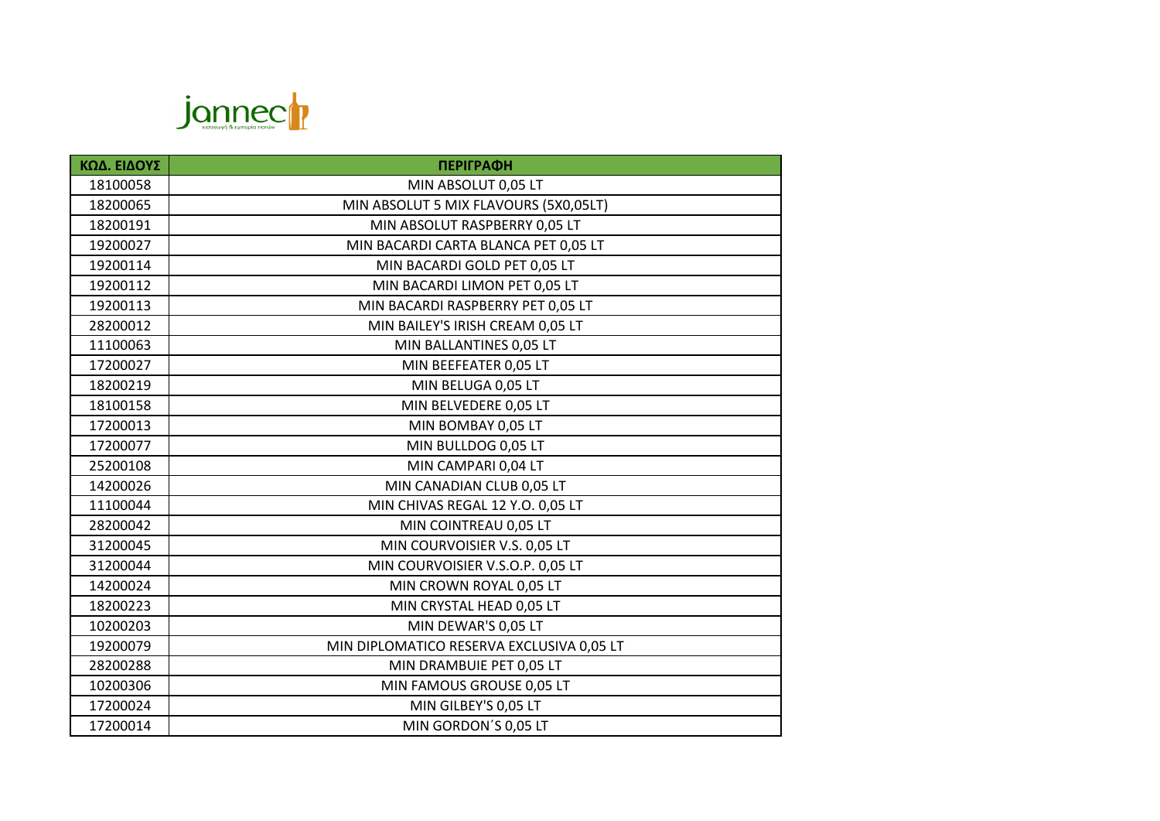

| ΚΩΔ. ΕΙΔΟΥΣ | <b>ПЕРІГРАФН</b>                          |
|-------------|-------------------------------------------|
| 18100058    | MIN ABSOLUT 0,05 LT                       |
| 18200065    | MIN ABSOLUT 5 MIX FLAVOURS (5X0,05LT)     |
| 18200191    | MIN ABSOLUT RASPBERRY 0,05 LT             |
| 19200027    | MIN BACARDI CARTA BLANCA PET 0,05 LT      |
| 19200114    | MIN BACARDI GOLD PET 0,05 LT              |
| 19200112    | MIN BACARDI LIMON PET 0,05 LT             |
| 19200113    | MIN BACARDI RASPBERRY PET 0,05 LT         |
| 28200012    | MIN BAILEY'S IRISH CREAM 0,05 LT          |
| 11100063    | MIN BALLANTINES 0,05 LT                   |
| 17200027    | MIN BEEFEATER 0,05 LT                     |
| 18200219    | MIN BELUGA 0,05 LT                        |
| 18100158    | MIN BELVEDERE 0,05 LT                     |
| 17200013    | MIN BOMBAY 0,05 LT                        |
| 17200077    | MIN BULLDOG 0,05 LT                       |
| 25200108    | MIN CAMPARI 0,04 LT                       |
| 14200026    | MIN CANADIAN CLUB 0,05 LT                 |
| 11100044    | MIN CHIVAS REGAL 12 Y.O. 0,05 LT          |
| 28200042    | MIN COINTREAU 0,05 LT                     |
| 31200045    | MIN COURVOISIER V.S. 0,05 LT              |
| 31200044    | MIN COURVOISIER V.S.O.P. 0,05 LT          |
| 14200024    | MIN CROWN ROYAL 0,05 LT                   |
| 18200223    | MIN CRYSTAL HEAD 0,05 LT                  |
| 10200203    | MIN DEWAR'S 0,05 LT                       |
| 19200079    | MIN DIPLOMATICO RESERVA EXCLUSIVA 0,05 LT |
| 28200288    | MIN DRAMBUIE PET 0,05 LT                  |
| 10200306    | MIN FAMOUS GROUSE 0,05 LT                 |
| 17200024    | MIN GILBEY'S 0,05 LT                      |
| 17200014    | MIN GORDON'S 0,05 LT                      |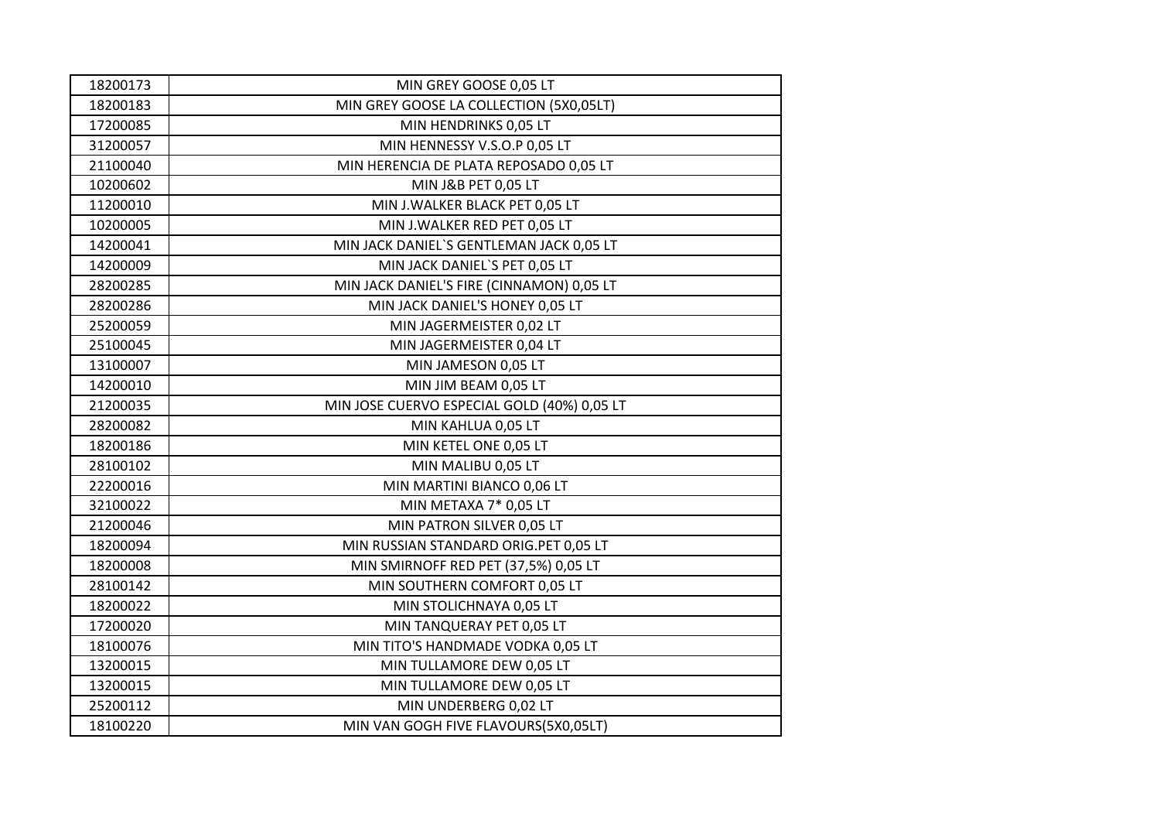| 18200173 | MIN GREY GOOSE 0,05 LT                      |
|----------|---------------------------------------------|
| 18200183 | MIN GREY GOOSE LA COLLECTION (5X0,05LT)     |
| 17200085 | MIN HENDRINKS 0,05 LT                       |
| 31200057 | MIN HENNESSY V.S.O.P 0,05 LT                |
| 21100040 | MIN HERENCIA DE PLATA REPOSADO 0,05 LT      |
| 10200602 | MIN J&B PET 0,05 LT                         |
| 11200010 | MIN J. WALKER BLACK PET 0,05 LT             |
| 10200005 | MIN J.WALKER RED PET 0,05 LT                |
| 14200041 | MIN JACK DANIEL'S GENTLEMAN JACK 0,05 LT    |
| 14200009 | MIN JACK DANIEL'S PET 0,05 LT               |
| 28200285 | MIN JACK DANIEL'S FIRE (CINNAMON) 0,05 LT   |
| 28200286 | MIN JACK DANIEL'S HONEY 0,05 LT             |
| 25200059 | MIN JAGERMEISTER 0,02 LT                    |
| 25100045 | MIN JAGERMEISTER 0,04 LT                    |
| 13100007 | MIN JAMESON 0,05 LT                         |
| 14200010 | MIN JIM BEAM 0,05 LT                        |
| 21200035 | MIN JOSE CUERVO ESPECIAL GOLD (40%) 0,05 LT |
| 28200082 | MIN KAHLUA 0,05 LT                          |
| 18200186 | MIN KETEL ONE 0,05 LT                       |
| 28100102 | MIN MALIBU 0,05 LT                          |
| 22200016 | MIN MARTINI BIANCO 0,06 LT                  |
| 32100022 | MIN METAXA 7* 0,05 LT                       |
| 21200046 | MIN PATRON SILVER 0,05 LT                   |
| 18200094 | MIN RUSSIAN STANDARD ORIG.PET 0,05 LT       |
| 18200008 | MIN SMIRNOFF RED PET (37,5%) 0,05 LT        |
| 28100142 | MIN SOUTHERN COMFORT 0,05 LT                |
| 18200022 | MIN STOLICHNAYA 0,05 LT                     |
| 17200020 | MIN TANQUERAY PET 0,05 LT                   |
| 18100076 | MIN TITO'S HANDMADE VODKA 0,05 LT           |
| 13200015 | MIN TULLAMORE DEW 0,05 LT                   |
| 13200015 | MIN TULLAMORE DEW 0,05 LT                   |
| 25200112 | MIN UNDERBERG 0,02 LT                       |
| 18100220 | MIN VAN GOGH FIVE FLAVOURS(5X0,05LT)        |